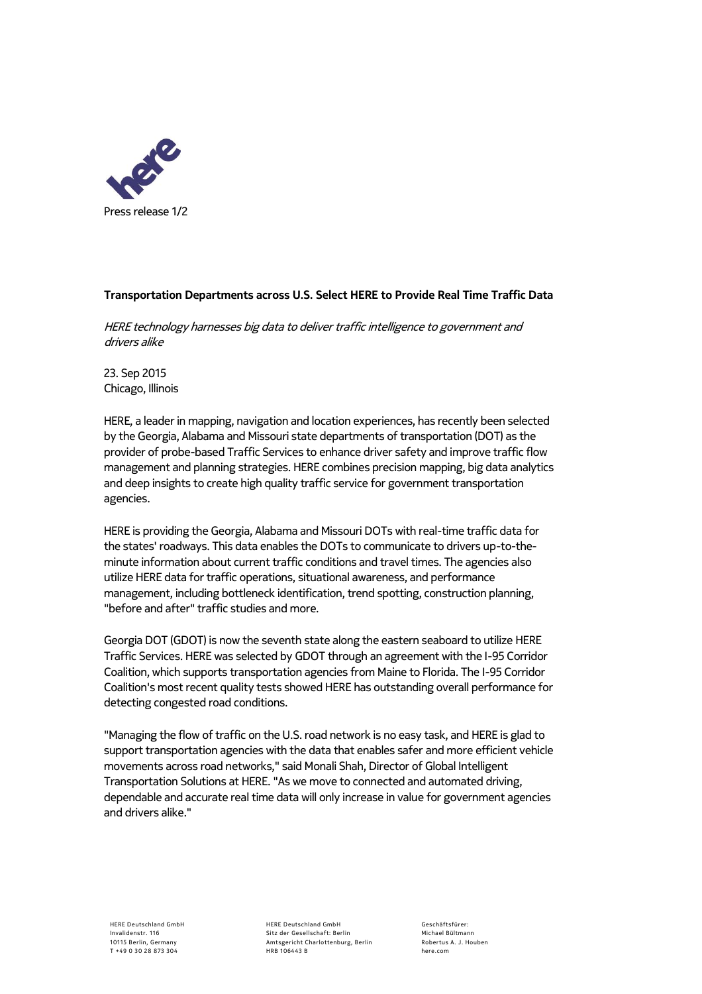

## **Transportation Departments across U.S. Select HERE to Provide Real Time Traffic Data**

HERE technology harnesses big data to deliver traffic intelligence to government and drivers alike

23. Sep 2015 Chicago, Illinois

HERE, a leader in mapping, navigation and location experiences, has recently been selected by the Georgia, Alabama and Missouri state departments of transportation (DOT) as the provider of probe-based Traffic Services to enhance driver safety and improve traffic flow management and planning strategies. HERE combines precision mapping, big data analytics and deep insights to create high quality traffic service for government transportation agencies.

HERE is providing the Georgia, Alabama and Missouri DOTs with real-time traffic data for the states' roadways. This data enables the DOTs to communicate to drivers up-to-theminute information about current traffic conditions and travel times. The agencies also utilize HERE data for traffic operations, situational awareness, and performance management, including bottleneck identification, trend spotting, construction planning, "before and after" traffic studies and more.

Georgia DOT (GDOT) is now the seventh state along the eastern seaboard to utilize HERE Traffic Services. HERE was selected by GDOT through an agreement with the I-95 Corridor Coalition, which supports transportation agencies from Maine to Florida. The I-95 Corridor Coalition's most recent quality tests showed HERE has outstanding overall performance for detecting congested road conditions.

"Managing the flow of traffic on the U.S. road network is no easy task, and HERE is glad to support transportation agencies with the data that enables safer and more efficient vehicle movements across road networks," said Monali Shah, Director of Global Intelligent Transportation Solutions at HERE. "As we move to connected and automated driving, dependable and accurate real time data will only increase in value for government agencies and drivers alike."

HERE Deutschland GmbH Sitz der Gesellschaft: Berlin Amtsgericht Charlottenburg, Berlin HRB 106443 B

Geschäftsfürer: Michael Bültmann Robertus A. J. Houben here.com